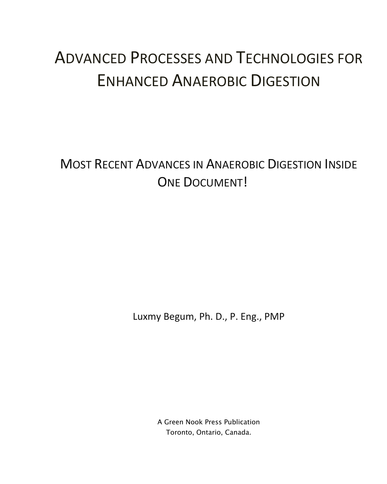## ADVANCED PROCESSES AND TECHNOLOGIES FOR ENHANCED ANAEROBIC DIGESTION

MOST RECENT ADVANCES IN ANAEROBIC DIGESTION INSIDE ONE DOCUMENT!

Luxmy Begum, Ph. D., P. Eng., PMP

A Green Nook Press Publication Toronto, Ontario, Canada.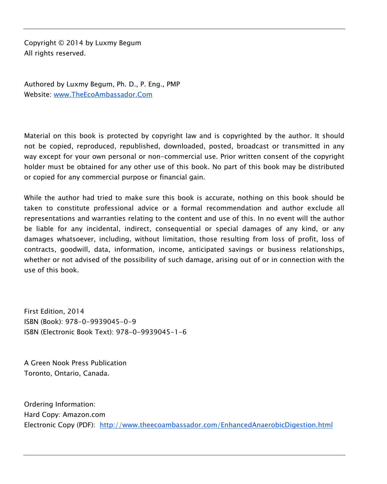Copyright © 2014 by Luxmy Begum All rights reserved.

Authored by Luxmy Begum, Ph. D., P. Eng., PMP Website: www.TheEcoAmbassador.Com

Material on this book is protected by copyright law and is copyrighted by the author. It should not be copied, reproduced, republished, downloaded, posted, broadcast or transmitted in any way except for your own personal or non-commercial use. Prior written consent of the copyright holder must be obtained for any other use of this book. No part of this book may be distributed or copied for any commercial purpose or financial gain.

While the author had tried to make sure this book is accurate, nothing on this book should be taken to constitute professional advice or a formal recommendation and author exclude all representations and warranties relating to the content and use of this. In no event will the author be liable for any incidental, indirect, consequential or special damages of any kind, or any damages whatsoever, including, without limitation, those resulting from loss of profit, loss of contracts, goodwill, data, information, income, anticipated savings or business relationships, whether or not advised of the possibility of such damage, arising out of or in connection with the use of this book.

First Edition, 2014 ISBN (Book): 978-0-9939045-0-9 ISBN (Electronic Book Text): 978-0-9939045-1-6

A Green Nook Press Publication Toronto, Ontario, Canada.

Ordering Information: Hard Copy: Amazon.com Electronic Copy (PDF): http://www.theecoambassador.com/EnhancedAnaerobicDigestion.html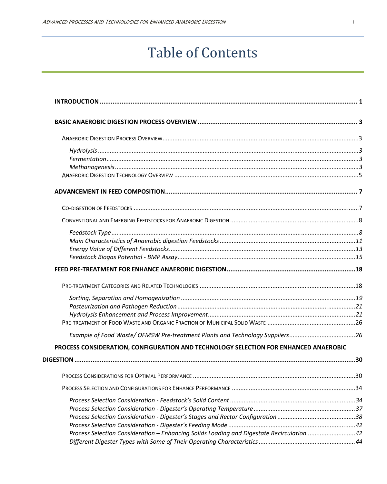## Table of Contents

| Example of Food Waste/ OFMSW Pre-treatment Plants and Technology Suppliers26         |  |
|--------------------------------------------------------------------------------------|--|
| PROCESS CONSIDERATION, CONFIGURATION AND TECHNOLOGY SELECTION FOR ENHANCED ANAEROBIC |  |
|                                                                                      |  |
|                                                                                      |  |
|                                                                                      |  |
|                                                                                      |  |
|                                                                                      |  |
|                                                                                      |  |
|                                                                                      |  |
|                                                                                      |  |
|                                                                                      |  |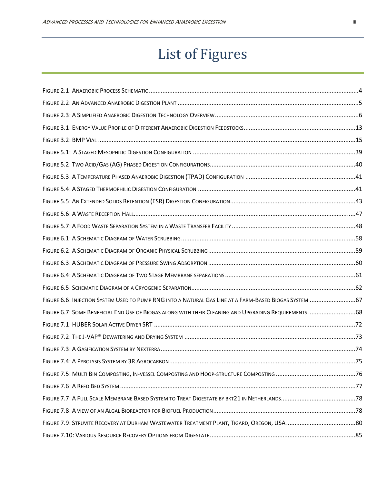## List of Figures

| FIGURE 6.6: INJECTION SYSTEM USED TO PUMP RNG INTO A NATURAL GAS LINE AT A FARM-BASED BIOGAS SYSTEM  67 |    |
|---------------------------------------------------------------------------------------------------------|----|
| FIGURE 6.7: SOME BENEFICIAL END USE OF BIOGAS ALONG WITH THEIR CLEANING AND UPGRADING REQUIREMENTS.  68 |    |
|                                                                                                         |    |
|                                                                                                         |    |
|                                                                                                         |    |
|                                                                                                         |    |
|                                                                                                         |    |
|                                                                                                         | 77 |
|                                                                                                         |    |
|                                                                                                         |    |
|                                                                                                         |    |
|                                                                                                         |    |